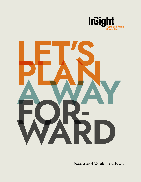



**Parent and Youth Handbook**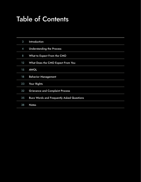# Table of Contents

| 3                | <b>Introduction</b>                              |
|------------------|--------------------------------------------------|
| $\boldsymbol{4}$ | <b>Understanding the Process</b>                 |
| 8                | What to Expect From the CMO                      |
| $12 \,$          | What Does the CMO Expect From You                |
| 15               | <b>AWOL</b>                                      |
| 18               | <b>Behavior Management</b>                       |
| 23               | Your Rights                                      |
| 32               | <b>Grievance and Complaint Process</b>           |
| 35               | <b>Buzz Words and Frequently Asked Questions</b> |
| 38               | <b>Notes</b>                                     |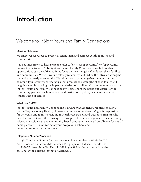## Introduction

## Welcome to InSight Youth and Family Connections

#### Mission Statement:

We empower resources to preserve, strengthen, and connect youth, families, and communities.

It is not uncommon to hear someone refer to "crisis as opportunity" or "opportunity doesn't knock twice." At InSight Youth and Family Connections we believe that opportunities can be cultivated if we focus on the strengths of children, their families and communities. We will work tirelessly to identify and utilize the intrinsic strengths that exist in nearly every family. We will strive to bring together members of the community in effective partnerships that promote the strengths of each family and neighborhood by sharing the hopes and desires of families with our community partners. InSight Youth and Family Connections will also share the hopes and desires of the community partners such as educational institutions, police, businesses and civic leaders with our families.

#### What is a CMO?

InSight Youth and Family Connections is a Care Management Organization (CMO) for the Wayne County Health, Human, and Veterans Services. InSight is responsible for the youth and families residing in Northwest Detroit and Dearborn Heights who have had contact with the court system. We provide case management services through referrals to residential and community-based programs, Medicaid enrollment for out-ofhome placements, monitoring of your progress in school and home and representation in court.

#### Telephone Number/Location

InSight Youth and Family Connections' telephone number is 313-387-6000. We are located on Seven Mile between Telegraph and Lahser. Our address is 22390 W. Seven Mile Rd, Detroit, Michigan 48219. Our entrance is on the east end of the building (corner of McIntyre).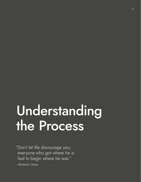# Understanding the Process

"Don't let life discourage you; everyone who got where he is had to begin where he was."

*—Richard L. Evans*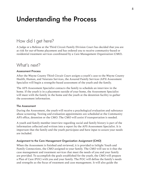# Understanding the Process

## How did I get here?

A Judge or a Referee at the Third Circuit Family Division Court has decided that you are at risk for out-of-home placement and has ordered you to receive community-based or residential treatment services coordinated by a Care Management Organization (CMO).

## What's next?

### Assessment Process

After the Wayne County Third Circuit Court assigns a youth's case to the Wayne County Health, Human, and Veterans Services, the Assured Family Services (AFS) Assessment Specialist will begin a strengths-based assessment of the youth and the family.

The AFS Assessment Specialist contacts the family to schedule an interview in the home. If the youth is in a placement outside of your home, the Assessment Specialist will meet with the family in the home and the youth at the detention facility to gather the assessment information.

## The Assessment

During the Assessment, the youth will receive a psychological evaluation and substance abuse screening. Testing and evaluation appointments are scheduled at the Community AFS office, detention or the CMO. The CMO will assist if transportation is needed.

A youth and family member interview regarding social and family history is part of the information collected and written into a report by the AFS Assessment Specialist. It is important that the family and the youth participate and have input to assure your needs are included.

## Assignment to the Care Management Organization Assignment (CMO)

When the Assessment is finished and reviewed, it is provided to InSight Youth and Family Connections, the CMO assigned to your family. The CMO will see to it that the case management and treatment services that meet the needs of you and your family are provided. To accomplish the goals established for the youth, the CMO will prepare a Plan of Care (POC) with you and your family. The POC will define the family's needs and strengths as the focus of treatment and case management. It will also guide the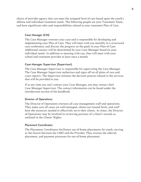choice of provider agency that can meet the assigned level of care based upon the youth's offense and individual treatment needs. The following people are your Treatment Team, and have significant roles and responsibilities related to your treatment Plan of Care.

### Case Manager (CM):

The Case Manager oversees your case and is responsible for developing and implementing your Plan of Care. They will meet with you monthly in a structured case conference, and discuss the progress on the goals in your Plan of Care. Additional contact will be determined by your Case Manager based on your individual needs. In addition to meeting with you, they will meet with your school and treatment provider at least once a month.

### Case Manager Supervisor (Supervisor):

The Case Manager Supervisor is responsible for supervising the Case Manager. The Case Manager Supervisor authorizes and signs off on all plans of care and court reports. The Supervisor initiates the decision process related to the services that will be provided to you.

If at any time you can't contact your Case Manager, you may contact their Case Manager Supervisor. The contact information can be found under the introduction section of the handbook.

#### Director of Operations:

The Director of Operations oversees all case management staff and operations. They make sure all cases are well-managed, clients are treated fairly, and staff have the resources needed to effectively serve their clients. At times, the Director of Operations may be involved in reviewing portions of a client's records as outlined in the Clients' Rights.

#### Placement Coordinator:

The Placement Coordinator facilitates out-of-home placements for youth, serving as the liaison between the CMO and the Provider. They oversee the referral, placement, and payment processes for out-of-home placement.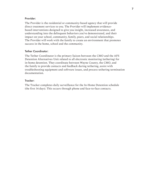#### Provider:

The Provider is the residential or community-based agency that will provide direct treatment services to you. The Provider will implement evidencebased interventions designed to give you insight, increased awareness, and understanding into the delinquent behaviors you've demonstrated, and their impact on your school, community, family, peers, and social relationships. The Provider will work with the family to create an environment that promotes success in the home, school and the community.

#### Tether Coordinator:

The Tether Coordinator is the primary liaison between the CMO and the AFS Detention Alternatives Unit related to all electronic monitoring (tethering) for in-home detention. They coordinate between Wayne County, the CMO, and the family to provide contacts and feedback during tethering, assist with troubleshooting equipment and software issues, and process tethering termination documentation.

#### Tracker:

The Tracker completes daily surveillance for the In-Home Detention schedule (the first 14 days). This occurs through phone and face-to-face contacts.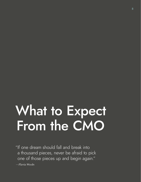# What to Expect From the CMO

"If one dream should fall and break into a thousand pieces, never be afraid to pick one of those pieces up and begin again."

*—Flavia Weedn*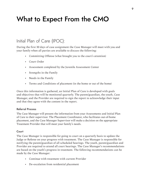# What to Expect From the CMO

## Initial Plan of Care (IPOC):

During the first 30 days of case assignment the Case Manager will meet with you and your family when all parties are available to discuss the following:

- Committing Offense (what brought you to the court's attention)
- Court Order
- Assessment completed by the Juvenile Assessment Center
- Strengths in the Family
- Needs in the Family
- Terms and Conditions of placement (in the home or out of the home)

Once this information is gathered, an Initial Plan of Care is developed with goals and objectives that will be monitored quarterly. The parent/guardian, the youth, Case Manager, and the Provider are required to sign the report to acknowledge their input and that they agree with the content in the report.

#### Referral Process

The Case Manager will present the information from your Assessments and Initial Plan of Care to their supervisor. The Placement Coordinator, who facilitates out-of-home placement, and the Case Manager Supervisor will make a decision on the appropriate Treatment Provider that will meet your family's needs.

#### **Court**

The Case Manager is responsible for going to court on a quarterly basis to update the Judge or Referee on your progress with treatment. The Case Manager is responsible for notifying the parent/guardian of all scheduled hearings. The youth, parent/guardian and Provider are required to attend all court hearings. The Case Manager's recommendations are based on the youth's progress in treatment. The following recommendations can be made by the Case Manager:

- Continue with treatment with current Provider
- De-escalation from residential placement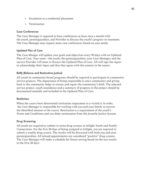- Escalation to a residential placement
- Termination

## Case Conferences

The Case Manager is required to have conferences at least once a month with the youth, parent/guardian, and Provider to discuss the youth's progress in treatment. The Case Manager may request more case conferences based on your needs.

## Updated Plan of Care

The Case Manger will update your goals and objectives every 90 days with an Updated Plan of Care. Your team—the youth, the parent/guardian, your Case Manager, and the service Provider will meet to discuss the Updated Plan of Care. All will sign the report to acknowledge their input and that they agree with the content in the report.

## BARJ (Balance and Restorative Justice)

All youth in community-based programs should be required to participate in community service projects. The importance of being responsible to one's community and giving back to the community helps to restore and repair the community's faith. The selected service project, youth attendance and a summary of progress in the project should be documented monthly and included in the Updated Plan of Care.

#### **Restitution**

When the courts have determined restitution (repayment to a victim) is in order, the Case Manager is responsible for working with you and your family to recover the identified amount to the courts. Restitution is a requirement of the youth's Terms and Conditions and can delay termination from the Juvenile Justice System.

## Drug Screening

All youth are required to submit to urine drug screens at InSight Youth and Family Connections. For the first 30 days of being assigned to InSight, you are required to submit a weekly drug screen. The results will be discussed with both you and your parent/guardian. All missed appointments are considered "positive" drug screens. The Case Manager will make a schedule for future testing based on the test results in the first 30 days.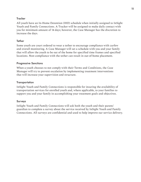## **Tracker**

All youth have an In-Home Detention (IHD) schedule when initially assigned to InSight Youth and Family Connections. A Tracker will be assigned to make daily contact with you for minimum amount of 14 days; however, the Case Manager has the discretion to increase the days.

## **Tether**

Some youth are court ordered to wear a tether to encourage compliance with curfew and overall monitoring. A Case Manager will set a schedule with you and your family that will allow the youth to be out of the home for specified time frames and specified locations. Non-compliance with the tether can result in out-of-home placement.

## Progressive Sanctions

When a youth chooses to not comply with their Terms and Conditions, the Case Manager will try to prevent escalation by implementing treatment interventions that will increase your supervision and structure.

## **Transportation**

InSight Youth and Family Connections is responsible for insuring the availability of transportation services for enrolled youth and, where applicable, to your families to support you and your family in accomplishing your treatment goals and objectives.

## Surveys

InSight Youth and Family Connections will ask both the youth and their parent/ guardian to complete a survey about the service received by InSight Youth and Family Connections. All surveys are confidential and used to help improve our service delivery.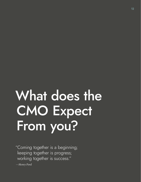# What does the CMO Expect From you?

"Coming together is a beginning; keeping together is progress; working together is success."

*—Henry Ford*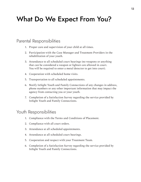## What Do We Expect From You?

## Parental Responsibilities

- 1. Proper care and supervision of your child at all times.
- 2. Participation with the Case Manager and Treatment Providers in the rehabilitation of your youth.
- 3. Attendance to all scheduled court hearings (no weapons or anything that can be considered a weapon or lighters are allowed in court. You will be required to enter a metal detector to get into court).
- 4. Cooperation with scheduled home visits.
- 5. Transportation to all scheduled appointments.
- 6. Notify InSight Youth and Family Connections of any changes in address, phone numbers or any other important information that may impact the agency from contacting you or your youth.
- 7. Completion of a Satisfaction Survey regarding the service provided by InSight Youth and Family Connections.

## Youth Responsibilities

- 1. Compliance with the Terms and Conditions of Placement.
- 2. Compliance with all court orders.
- 3. Attendance at all scheduled appointments.
- 4. Attendance at all scheduled court hearings.
- 5. Cooperation and respect with your Treatment Team.
- 6. Completion of a Satisfaction Survey regarding the service provided by InSight Youth and Family Connections.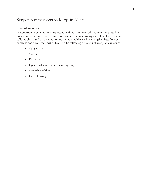## Simple Suggestions to Keep in Mind

### Dress Attire in Court

Presentation in court is very important to all parties involved. We are all expected to present ourselves on time and in a professional manner. Young men should wear slacks, collared shirts and solid shoes. Young ladies should wear knee-length skirts, dresses, or slacks and a collared shirt or blouse. The following attire is not acceptable in court:

- Gang attire
- Shorts
- Halter tops
- Open-toed shoes, sandals, or flip-flops
- Offensive t-shirts
- Gum chewing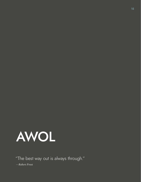

"The best way out is always through."

*—Robert Frost*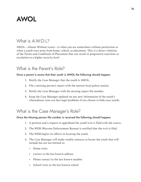## AWOL

## What is  $A W O 12$

AWOL—Absent Without Leave—is when you are somewhere without permission or when a youth runs away from home, school, or placement. This is a direct violation of the Terms and Conditions of Placement that can result in progressive sanctions or escalation to a higher security level.

## What is the Parent's Role?

## Once a parent is aware that their youth is AWOL the following should happen:

- 1. Notify the Case Manager that the youth is AWOL.
- 2. File a missing person's report with the nearest local police station.
- 3. Notify the Case Manager with the missing report file number.
- 4. Keep the Case Manager updated on any new information of the youth's whereabouts (you can face legal problems if you choose to hide your youth).

## What is the Case Manager's Role?

Once the Missing person file number is received the following should happen:

- 1. A petition and a request to apprehend the youth writ is filed with the courts.
- 2. The WEB (Warrant Enforcement Bureau) is notified that the writ is filed.
- 3. The WEB begins its efforts in locating the youth.
- 4. The Case Manager will make weekly contacts to locate the youth that will include but are not limited to:
	- Home visits
	- Letters to the last known address
	- Phone contact to the last known number
	- School visits to the last known school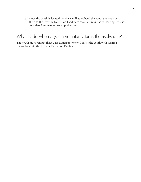5. Once the youth is located the WEB will apprehend the youth and transport them to the Juvenile Detention Facility to await a Preliminary Hearing. This is considered an involuntary apprehension.

## What to do when a youth voluntarily turns themselves in?

The youth must contact their Case Manager who will assist the youth with turning themselves into the Juvenile Detention Facility.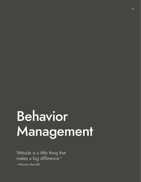# Behavior Management

"Attitude is a little thing that makes a big difference."

*—Winston Churchill*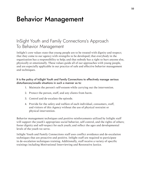# Behavior Management

## InSight Youth and Family Connections's Approach To Behavior Management

InSight's core values state that young people are to be treated with dignity and respect; that they come to our agency with strengths to be developed; that everybody in the organization has a responsibility to help; and that nobody has a right to hurt anyone else, physically or emotionally. These values guide all of our approaches with young people, and are especially applicable in our practice of safe and effective behavior management and techniques.

## It is the policy of InSight Youth and Family Connections to effectively manage serious disturbances/unsafe situations in such a manner as to:

- 1. Maintain the person's self-esteem while carrying out the intervention.
- 2. Protect the person, staff, and any clients from harm.
- 3. Control and de-escalate the episode.
- 4. Provide for the safety and welfare of each individual, consumers, staff, and visitors of this Agency without the use of physical restraint or physical intervention.

Behavior management techniques and positive reinforcements utilized by InSight staff will support the youth's appropriate social behavior, self-control, and the rights of others; foster dignity and self-respect for each youth; and reflect the ages and developmental levels of the youth we serve.

InSight Youth and Family Connections staff uses conflict avoidance and de-escalation techniques that are proactive and positive. InSight staff are required to participate in de-escalation techniques training. Additionally, staff receive a variety of specific trainings including Motivational Interviewing and Restorative Justice.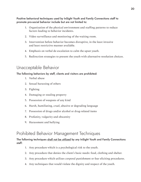Positive behavioral techniques used by InSight Youth and Family Connections staff to promote pro-social behavior include but are not limited to:

- 1. Organization of the physical environment and staffing patterns to reduce factors leading to behavior incidents.
- 2. Video surveillance and monitoring of the waiting room.
- 3. Intervention before behavior becomes disruptive, in the least invasive and least restrictive manner available.
- 4. Emphasis on verbal de-escalation to calm the upset youth.
- 5. Redirection strategies to present the youth with alternative resolution choices.

## Unacceptable Behavior

## The following behaviors by staff, clients and visitors are prohibited:

- 1. Verbal abuse
- 2. Sexual harassing of others
- 3. Fighting
- 4. Damaging or stealing property
- 5. Possession of weapons of any kind
- 6. Harsh, humiliating, cruel, abusive or degrading language
- 7. Possession of drugs and/or alcohol or drug-related items
- 8. Profanity, vulgarity and obscenity
- 9. Harassment and bullying

## Prohibited Behavior Management Techniques

## The following techniques shall not be utilized by any InSight Youth and Family Connections staff:

- 1. Any procedure which is a psychological risk to the youth.
- 2. Any procedure that denies the client's basic needs: food, clothing and shelter.
- 3. Any procedure which utilizes corporal punishment or fear eliciting procedures.
- 4. Any techniques that would violate the dignity and respect of the youth.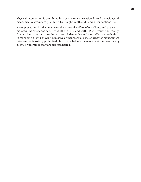Physical intervention is prohibited by Agency Policy. Isolation, locked seclusion, and mechanical restraint are prohibited by InSight Youth and Family Connections Inc.

Every precaution is taken to ensure the care and welfare of our clients and to also maintain the safety and security of other clients and staff. InSight Youth and Family Connections staff must use the least restrictive, safest and most effective methods in managing client behavior. Excessive or inappropriate use of behavior management intervention is strictly prohibited. Restrictive behavior management interventions by clients or untrained staff are also prohibited.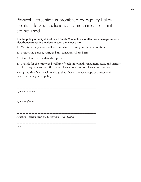## Physical intervention is prohibited by Agency Policy. Isolation, locked seclusion, and mechanical restraint are not used.

It is the policy of InSight Youth and Family Connections to effectively manage serious disturbances/unsafe situations in such a manner as to:

- 1. Maintain the person's self-esteem while carrying out the intervention.
- 2. Protect the person, staff, and any consumers from harm.
- 3. Control and de-escalate the episode.
- 4. Provide for the safety and welfare of each individual, consumers, staff, and visitors of this Agency without the use of physical restraint or physical intervention.

By signing this form, I acknowledge that I have received a copy of the agency's behavior management policy.

| Signature of Youth                                       |
|----------------------------------------------------------|
|                                                          |
| Signature of Parent                                      |
|                                                          |
|                                                          |
| Signature of InSight Youth and Family Connections Worker |
|                                                          |
| Date                                                     |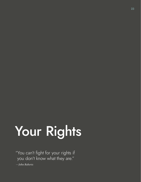# Your Rights

"You can't fight for your rights if you don't know what they are."

*—John Roberts*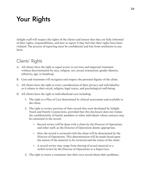# Your Rights

InSight staff will respect the rights of the clients and ensure that they are fully informed of their rights, responsibilities, and how to report if they feel that their rights have been violated. The process of reporting must be confidential and free from retaliation in any form.

## Clients' Rights

- A. All clients have the right to equal access to services and impartial treatment without discrimination by race, religion, sex, sexual orientation, gender identity, ethnicity, age, or handicap.
- B. Care and treatment will recognize and respect the personal dignity of the client.
- C. All clients have the right to every consideration of their privacy and individuality as it relates to their social, religion, legal status, and psychological well-being.
- D. All clients have the right to individualized care including:
	- 1. The right to a Plan of Care determined by clinical assessment and available to the client.
	- 2. The right to review portions of their record that were developed by InSight Youth and Family Connections, provided that this disclosure does not violate the confidentiality of family members or other individuals whose contacts may be contained in the record.
		- Record review will be done with a client by the Director of Operations and other staff, as the Director of Operations deems appropriate.
		- How the record is reviewed with the client will be determined by the Director of Operations. This determination will be made based upon the nature of the material to be reviewed and the status of the client.
		- A record review may range from sharing of actual material to a verbal review by the Director of Operations or a Supervisor.
	- 3. The right to insert a statement into their own record about their problems,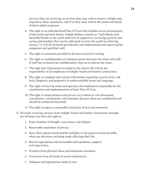services they are receiving, or services they may wish to receive. InSight may respond to these statements, and if so they must inform the youth and family of those added responses.

- 4. The right to an individualized Plan Of Care that includes active participation of the youth and their family. InSight defines a family as "Individuals with identified bonds to the youth reflective of supportive, nurturing, positive and caring relationships that can be cultivated to assist the youth in achieving success." It will be reviewed periodically, and implemented and supervised by competent and qualified staff.
- 5. The right to treatment provided in the least restrictive setting.
- 6. The right to confidentiality of communications between the client and staff. If staff has to breach the confidentiality they are to inform the client.
- 7. The right that information recorded in the client's file will be the responsibility of all employees of InSight Youth and Family Connections.
- 8. The right to complete and current information regarding security level, risk level, diagnosis, and prognosis in understandable terms and language.
- 9. The right to know by name and specialty the employee(s) responsible for the coordination and implementation of their Plan Of Care.
- 10. The right to respectfulness and privacy as it relates to case discussion, consultation, examination, and treatment because these are confidential and should be conducted discreetly.
- 11. The right to expect a reasonable continuity of care and treatment.
- E. All youth receiving services from InSight Youth and Family Connections through out-of-home care have the right to:
	- 1. Enjoy freedom of thought, conscience, and religion.
	- 2. Reasonable enjoyment of privacy.
	- 3. Have their opinion heard and be included, to the greatest extent possible, when any decisions are being made affecting their life.
	- 4. Receive appropriate and reasonable adult guidance, support, and supervision.
	- 5. Freedom from physical abuse and inhumane treatment.
	- 6. Protection from all forms of sexual exploitation.
	- 7. Adequate and appropriate medical care.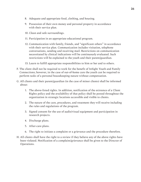- 8. Adequate and appropriate food, clothing, and housing.
- 9. Possession of their own money and personal property in accordance with their service plan.
- 10. Clean and safe surroundings.
- 11. Participation in an appropriate educational program.
- 12. Communication with family, friends, and "significant others" in accordance with their service plan. Communication includes visitation, telephone conversations, sending and receiving mail. Restrictions on communication necessitated by clinical indications will be continuously evaluated. Such restrictions will be explained to the youth and their parent/guardian.
- 13. Learn to fulfill appropriate responsibilities to him or her and to others.
- F. The client shall not be required to work for the benefit of InSight Youth and Family Connections; however, in the case of out-of-home care the youth can be required to perform tasks of a personal housekeeping nature without compensation.
- G. All clients and their parent/guardian (in the case of minor clients) shall be informed about:
	- 1. The above-listed rights. In addition, notification of the existence of a Client Rights policy and the availability of that policy shall be posted throughout the organization in strategic locations accessible and visible to clients.
	- 2. The nature of the care, procedures, and treatment they will receive including the rules and regulations of the program.
	- 3. Signed consent for the use of audio/visual equipment and participation in research projects.
	- 4. Discharge plans.
	- 5. After-care plans.
	- 6. The right to initiate a complaint or a grievance and the procedure therefore.
- H. All clients shall have the right to a review if they believe any of the above rights have been violated. Notification of a complaint/grievance shall be given to the Director of Operations.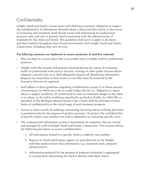## **Confidentiality**

InSight Youth and Family Connections staff shall have a primary obligation to respect the confidentiality of information obtained about a client and their family in the course of evaluation and treatment. Staff should reveal such information for professional purposes only, and only to persons clearly associated with the administration of treatment for the client and family. This guideline shall serve to apply to all clients and their families throughout their formal involvement with InSight Youth and Family Connections, including after-care services.

### The following measures are implement to ensure protection of sensitive materials:

- Files are kept in a secure place that is accessible only to InSight staff for professional purposes.
- InSight staff who presents information obtained during the course of evaluation and/or in professional work such as lectures, writings or other public forums obtain adequate consent to do so or shall adequately disguise all identifying information. Requests by researchers to have access to case files must be reviewed by the Executive Director for approval.
- Staff adhere to these guidelines regarding confidentiality except (1) in those unusual circumstances in which not to do so would violate the law (i.e. obligation to report abuse or neglect incidents), (2) would result in clear an imminent danger to the client or to others, or (3) within conditions specifically set forth in Public Act 330.1748, as amended, of the Michigan Mental Health Code. Clients shall be informed of these limits of confidentiality at the initial stage of each treatment program.
- Access to client records by auditing, contracting, licensing and accrediting personnel is permitted only for the purpose of quality assurance. To protect the confidentiality of specific clients, case numbers are used as identifiers in evaluating specific cases.
- The computerized information system is maintained on computers that are owned and managed by staff of InSight Youth and Family Connections. This system utilizes the following procedures to assure confidentiality:
	- 1. All information related to a specific client is coded by case number.
	- 2. Reports in which youth names appear are provided only to the InSight staff that needs to know that information, e.g., treatment team, program administrators.
	- 3. Information produced for the purpose of program evaluation is aggregated at a group level, eliminating the need to identify individual clients.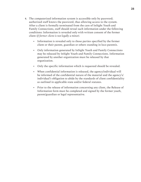- 4. The computerized information system is accessible only by password; authorized staff knows the password, thus allowing access to the system. After a client is formally terminated from the care of InSight Youth and Family Connections, staff should reveal such information under the following conditions: Information is revealed only with written consent of the former client *(if former client is not legally a minor).*
	- Information is revealed only to those parties specified by the former client or their parent, guardian or others standing in loco parentis.
	- Only information generated by InSight Youth and Family Connections may be released by InSight Youth and Family Connections. Information generated by another organization must be released by that organization.
	- Only the specific information which is requested should be revealed.
	- When confidential information is released, the agency/individual will be informed of the confidential nature of the material and the agency's/ individual's obligation to abide by the standards of client confidentiality as outlined in applicable state and/or federal statutes.
	- Prior to the release of information concerning any client, the Release of Information form must be completed and signed by the former youth, parent/guardian or legal representative.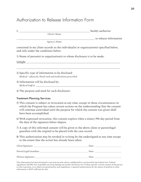## Authorization to Release Information Form

| Client's Name                                                                                                                                                                                                                                                                             |                                                        |
|-------------------------------------------------------------------------------------------------------------------------------------------------------------------------------------------------------------------------------------------------------------------------------------------|--------------------------------------------------------|
| -------------------------<br>Agency's Name                                                                                                                                                                                                                                                | ------------------------------- to release information |
| contained in my client records to the individual(s) or organization(s) specified below,<br>and only under the conditions below:                                                                                                                                                           |                                                        |
| 1) Name of person(s) or organization(s) to whom disclosure is to be made:                                                                                                                                                                                                                 |                                                        |
|                                                                                                                                                                                                                                                                                           |                                                        |
| 2) Specific type of information to be disclosed:<br>Medical-physicals, blood work and medications prescribed                                                                                                                                                                              |                                                        |
| 3) Information will be disclosed by:                                                                                                                                                                                                                                                      |                                                        |
| 4) The purpose and need for such disclosure:                                                                                                                                                                                                                                              |                                                        |
| <b>Treatment Planning Services</b>                                                                                                                                                                                                                                                        |                                                        |
| 5) This consent is subject to revocation at any time, except in those circumstances in<br>which the Program has taken certain actions on the understanding that the consent<br>will continue unrevoked until the purpose for which the consent was given shall<br>have been accomplished. |                                                        |
| 6) With expressed revocation, this consent expires when a ninety (90) day period from<br>the date of the signature below elapses.                                                                                                                                                         |                                                        |
| 7) A copy of this informed consent will be given to the above client or parent/legal<br>guardian with the original to be placed with the case record.                                                                                                                                     |                                                        |
|                                                                                                                                                                                                                                                                                           |                                                        |

8) This authorization may be revoked in writing by the undersigned at any time except to the extent that the action has already been taken.

| Client Signature:      | Date: |
|------------------------|-------|
| Parent/Legal Guardian: | Date: |
| Witness Signature:     | Date: |

This information has been disclosed to you from records whose confidentiality is protected by the Federal Law. Federal regulations (42CPR, Part 2) prohibit you from making any further disclosure of it without specific written consent of the person to who it pertains, or as otherwise permitted by such regulations. A general authorization for the release of medical or other information is NOT sufficient for this.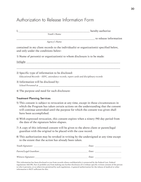## Authorization to Release Information Form

| Youth's Name                                                                                                                                                                                                                                                                              |
|-------------------------------------------------------------------------------------------------------------------------------------------------------------------------------------------------------------------------------------------------------------------------------------------|
| ---------------------------- to release information<br>Agency's Name                                                                                                                                                                                                                      |
| contained in my client records to the individual(s) or organization(s) specified below,<br>and only under the conditions below:                                                                                                                                                           |
| 1) Name of person(s) or organization(s) to whom disclosure is to be made:                                                                                                                                                                                                                 |
|                                                                                                                                                                                                                                                                                           |
|                                                                                                                                                                                                                                                                                           |
| 2) Specific type of information to be disclosed:<br>Educational Records-IEPC, attendance records, report cards and disciplinary records                                                                                                                                                   |
| 3) Information will be disclosed by:                                                                                                                                                                                                                                                      |
| 4) The purpose and need for such disclosure:                                                                                                                                                                                                                                              |
| <b>Treatment Planning Services</b>                                                                                                                                                                                                                                                        |
| 5) This consent is subject to revocation at any time, except in those circumstances in<br>which the Program has taken certain actions on the understanding that the consent<br>will continue unrevoked until the purpose for which the consent was given shall<br>have been accomplished. |
| 6) With expressed revocation, this consent expires when a ninety (90) day period from<br>the date of the signature below elapses.                                                                                                                                                         |
| 7) A copy of this informed consent will be given to the above client or parent/legal<br>guardian with the original to be placed with the case record.                                                                                                                                     |
| 8) This authorization may be revoked in writing by the undersigned at any time except<br>to the extent that the action has already been taken.                                                                                                                                            |
| Youth Signature:<br>Date:                                                                                                                                                                                                                                                                 |

| Youth Signature:       | Date: |  |
|------------------------|-------|--|
| Parent/Legal Guardian: | Date: |  |
| Witness Signature:     | Date: |  |

This information has been disclosed to you from records whose confidentiality is protected by the Federal Law. Federal regulations (42CPR, Part 2) prohibit you from making any further disclosure of it without specific written consent of the person to who it pertains, or as otherwise permitted by such regulations. A general authorization for the release of medical or other information is NOT sufficient for this.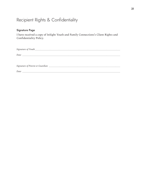## Recipient Rights & Confidentiality

## Signature Page

I have received a copy of InSight Youth and Family Connections's Client Rights and Confidentiality Policy.

| Date |
|------|
|      |
|      |
|      |
| Date |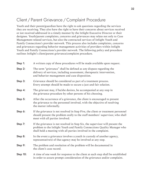## Client / Parent Grievance /Complaint Procedure

Youth and their parent/guardian have the right to ask questions regarding the services they are receiving. They also have the right to have their concerns about services received or not received addressed in a timely manner by the InSight Executive Director or their designee. Youth/parent complaints, concerns and grievances may relate not only to Case Management related services, but also the contracted services of InSight Youth and Family Connections's provider network. This process also includes complaints, concerns and grievances regarding behavior management activities of providers within InSight Youth and Family Connections's provider network. The following policy and procedure outlines InSight's client/parent grievance/complaint procedure.

| Step 1:  | A written copy of these procedures will be made available upon request.                                                                                                                                                      |
|----------|------------------------------------------------------------------------------------------------------------------------------------------------------------------------------------------------------------------------------|
| Step 2:  | The term "grievance" shall be defined as any dispute regarding the<br>delivery of services, including assessment, therapeutic intervention,<br>and behavior management and case disposition.                                 |
| Step 3:  | Grievance should be considered as part of a treatment process.<br>Every attempt should be made to secure a just and fair solution.                                                                                           |
| Step 4:  | The grievant may, if he/she desires, be accompanied at any step in<br>the grievance procedure by other persons of his choosing.                                                                                              |
| Step 5:  | After the occurrence of a grievance, the client is encouraged to present<br>the grievance to the personnel involved, with the objective of resolving<br>the matter informally.                                               |
| Step 6:  | If the grievance is not resolved in Step Five, the client or treatment personnel<br>should present the problem orally to the staff members' supervisor, who shall<br>meet with all parties involved.                         |
| Step 7:  | If the grievance is not resolved in Step Six, the supervisor will present the<br>problem to the InSight Youth and Family Connections Quality Manager who<br>shall hold a meeting with all parties involved in the complaint. |
| Step 8:  | In the event a grievance involves a youth in custody of another agency,<br>representative(s) of that agency may be involved at any step.                                                                                     |
| Step 9:  | The problem and resolution of the problem will be documented in<br>the client's case record.                                                                                                                                 |
| Step 10: | A time of one week for response to the client at each step shall be established<br>in order to assure prompt consideration of the grievance and/or complaint.                                                                |
|          |                                                                                                                                                                                                                              |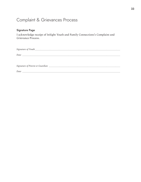## Complaint & Grievances Process

## Signature Page

I acknowledge receipt of InSight Youth and Family Connections's Complaint and Grievance Process.

| Date |
|------|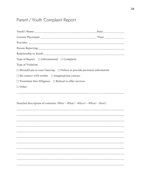## Parent / Youth Complaint Report

| Type of Report: □ Informational □ Complaint                                         |  |
|-------------------------------------------------------------------------------------|--|
| Type of Violation:                                                                  |  |
| $\Box$ Missed/Late to court hearing $\Box$ Failure to provide pertinent information |  |
| $\Box$ No contact with worker $\Box$ Inappropriate contact                          |  |
| $\Box$ Treatment Due Diligence $\Box$ Refusal to offer services                     |  |
| $\Box$ Other:                                                                       |  |
| Detailed description of violation: (Who?-What?-Where?-When?-How?)                   |  |
|                                                                                     |  |
|                                                                                     |  |
|                                                                                     |  |
|                                                                                     |  |
|                                                                                     |  |
|                                                                                     |  |
|                                                                                     |  |
|                                                                                     |  |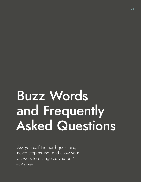# Buzz Words and Frequently Asked Questions

"Ask yourself the hard questions, never stop asking, and allow your answers to change as you do."

*—Colin Wright*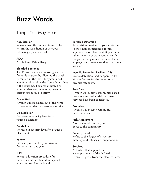## Buzz Words

## Things You May Hear...

#### **Adjudication**

When a juvenile has been found to be within the jurisdiction of the Court, following a plea or a trial.

### **AOD**

Alcohol and Other Drugs

#### **Blended Sentence**

The Court may delay imposing sentence for adult charges, by allowing the youth to remain in the juvenile system until age 21 at which time the Court determines if the youth has been rehabilitated or whether they continue to represent a serious risk to public safety.

#### **Committed**

A youth will be placed out of the home to receive residential treatment services.

#### **De-escalation**

Decrease in security level for a youth's placement.

#### **Escalation**

Increase in security level for a youth's placement.

#### **Felony**

Offense punishable by imprisonment for more than one year.

#### **IEPC**

Formal education procedure for having a youth evaluated for special education services in Michigan.

#### **In-Home Detention**

Supervision provided to youth returned to their homes, pending a formal adjudication or placement. Supervision takes the form of daily contacts with the youth, the parents, the school, and employers etc., to ensure that conditions are met.

#### **Juvenile Detention Facility (JDF)**

Secure detention facility operated by Wayne County for the detention of juvenile offenders.

#### **Post Care**

A youth will receive community based services after residential treatment services have been completed.

#### **Probation**

A youth will receive community based services.

#### **Risk Assessment**

Assessment of risk the youth poses to the community.

#### **Security Level**

Refers to the degree of structure, mobility and intensity of supervision.

#### **Services**

Activities that support the accomplishment of the defined treatment goals from the Plan Of Care.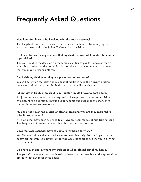# Frequently Asked Questions

## **How long do I have to be involved with the courts systems?**

The length of time under the court's jurisdiction is dictated by your progress with treatment and is the Judges/Referees final decision.

## **Do I have to pay for any services that my child receives while under the courts supervision?**

The court makes the decision on the family's ability to pay for services when a youth is placed out of the home. In addition there may be other court cost fees that you may be responsible for.

## **Can I visit my child when they are placed out of my home?**

Yes. All detention facilities and residential facilities have their own visitation policy and will discuss their individual visitation policy with you.

## **I didn't get in trouble, my child is in trouble why do I have to participate?**

All juveniles are minors and are required to have proper care and supervision by a parent or a guardian. Through your support and guidance the chances of success increases tremendously.

## **My child has never had a drug or alcohol problem, why are they required to submit drug screens?**

All youth that have been assigned to a CMO are required to submit drug screens. The frequency of testing is determined by the youth test results.

#### **Does the Case Manager have to come to my home for visits?**

Yes. Research shows that a youth's environment has a significant impact on their behavior; therefore, it is important for the Case Manager to see the youth's living environment.

## **Do I have a choice in where my child goes when placed out of my home?**

The youth's placement decision is strictly based on their needs and the appropriate provider that can meet those needs.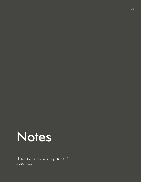

"There are no wrong notes."

*—Miles Davis*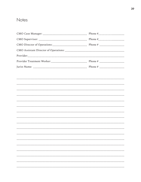## Notes